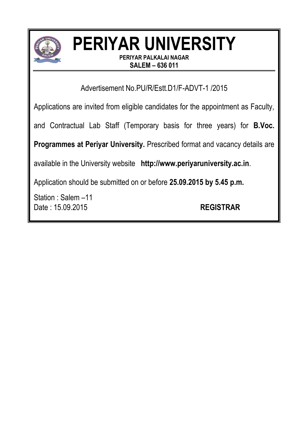

# **PERIYAR UNIVERSITY**

**PERIYAR PALKALAI NAGAR SALEM – 636 011**

Advertisement No.PU/R/Estt.D1/F-ADVT-1 /2015

Applications are invited from eligible candidates for the appointment as Faculty,

and Contractual Lab Staff (Temporary basis for three years) for **B.Voc.** 

**Programmes at Periyar University.** Prescribed format and vacancy details are

available in the University website **http://www.periyaruniversity.ac.in**.

Application should be submitted on or before **25.09.2015 by 5.45 p.m.**

Station : Salem –11 Date : 15.09.2015 **REGISTRAR**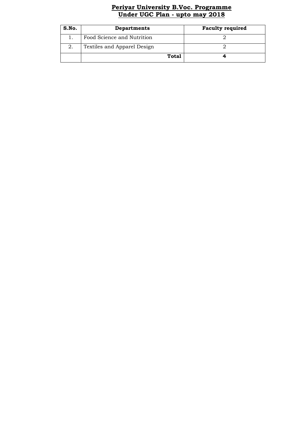## **Periyar University B.Voc. Programme Under UGC Plan - upto may 2018**

| S.No. | <b>Departments</b>          | <b>Faculty required</b> |
|-------|-----------------------------|-------------------------|
|       | Food Science and Nutrition  |                         |
|       | Textiles and Apparel Design |                         |
|       | Total                       |                         |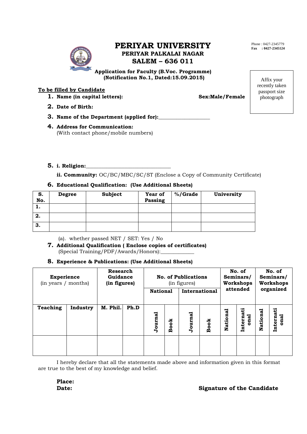# **PERIYAR UNIVERSITY PERIYAR PALKALAI NAGAR SALEM – 636 011**

 **Application for Faculty (B.Voc. Programme) (Notification No.1, Dated:15.09.2015)**

### **To be filled by Candidate**

**1.** Name (in capital letters): Sex:Male/Female

**2. Date of Birth:**

- **3.** Name of the Department (applied for):
- **4. Address for Communication:**  (With contact phone/mobile numbers)

#### **5. i. Religion:\_\_\_\_\_\_\_\_\_\_\_\_\_\_\_\_\_\_\_\_\_\_\_\_\_\_\_\_\_\_\_\_\_**

**ii. Community:** OC/BC/MBC/SC/ST (Enclose a Copy of Community Certificate)

#### **6. Educational Qualification: (Use Additional Sheets)**

| S.<br>No. | <b>Degree</b> | Subject | Year of<br>Passing | %/Grade | University |
|-----------|---------------|---------|--------------------|---------|------------|
|           |               |         |                    |         |            |
| 2.        |               |         |                    |         |            |
| 3.        |               |         |                    |         |            |

(a). whether passed NET / SET: Yes / No

**7. Additional Qualification ( Enclose copies of certificates)** (Special Training/PDF/Awards/Honors):\_\_\_\_\_\_\_\_\_\_\_\_\_

#### **8. Experience & Publications: (Use Additional Sheets)**

| <b>Experience</b><br>(in years / months) |          | Research<br>Guidance<br>(in figures) |      | <b>No. of Publications</b><br>(in figures) |             |               | No. of<br>Seminars/<br><b>Workshops</b> |          | No. of<br>Seminars/<br><b>Workshops</b> |           |                   |
|------------------------------------------|----------|--------------------------------------|------|--------------------------------------------|-------------|---------------|-----------------------------------------|----------|-----------------------------------------|-----------|-------------------|
|                                          |          |                                      |      | <b>National</b>                            |             | International |                                         | attended |                                         | organized |                   |
| Teaching                                 | Industry | M. Phil.                             | Ph.D | Journal                                    | <b>Book</b> | Journal       | <b>Book</b>                             | National | Internati<br>onal                       | National  | Internati<br>onal |
|                                          |          |                                      |      |                                            |             |               |                                         |          |                                         |           |                   |

I hereby declare that all the statements made above and information given in this format are true to the best of my knowledge and belief.

**Place:**

# **Date:** Signature of the Candidate

Phone : 0427-2345779 **Fax : 0427-2345124**

> Affix your recently taken passport size photograph